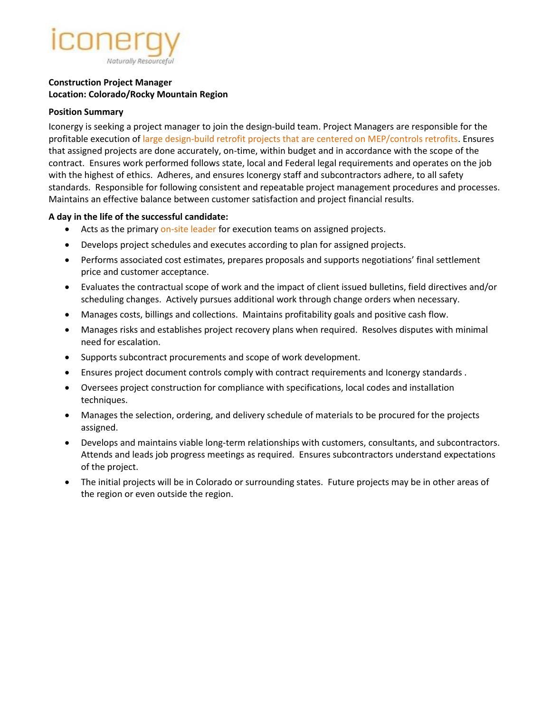# Naturally Resourceful

#### **Construction Project Manager Location: Colorado/Rocky Mountain Region**

#### **Position Summary**

Iconergy is seeking a project manager to join the design-build team. Project Managers are responsible for the profitable execution of large design-build retrofit projects that are centered on MEP/controls retrofits. Ensures that assigned projects are done accurately, on-time, within budget and in accordance with the scope of the contract. Ensures work performed follows state, local and Federal legal requirements and operates on the job with the highest of ethics. Adheres, and ensures Iconergy staff and subcontractors adhere, to all safety standards. Responsible for following consistent and repeatable project management procedures and processes. Maintains an effective balance between customer satisfaction and project financial results.

### **A day in the life of the successful candidate:**

- Acts as the primary on-site leader for execution teams on assigned projects.
- Develops project schedules and executes according to plan for assigned projects.
- Performs associated cost estimates, prepares proposals and supports negotiations' final settlement price and customer acceptance.
- Evaluates the contractual scope of work and the impact of client issued bulletins, field directives and/or scheduling changes. Actively pursues additional work through change orders when necessary.
- Manages costs, billings and collections. Maintains profitability goals and positive cash flow.
- Manages risks and establishes project recovery plans when required. Resolves disputes with minimal need for escalation.
- Supports subcontract procurements and scope of work development.
- Ensures project document controls comply with contract requirements and Iconergy standards .
- Oversees project construction for compliance with specifications, local codes and installation techniques.
- Manages the selection, ordering, and delivery schedule of materials to be procured for the projects assigned.
- Develops and maintains viable long-term relationships with customers, consultants, and subcontractors. Attends and leads job progress meetings as required. Ensures subcontractors understand expectations of the project.
- The initial projects will be in Colorado or surrounding states. Future projects may be in other areas of the region or even outside the region.